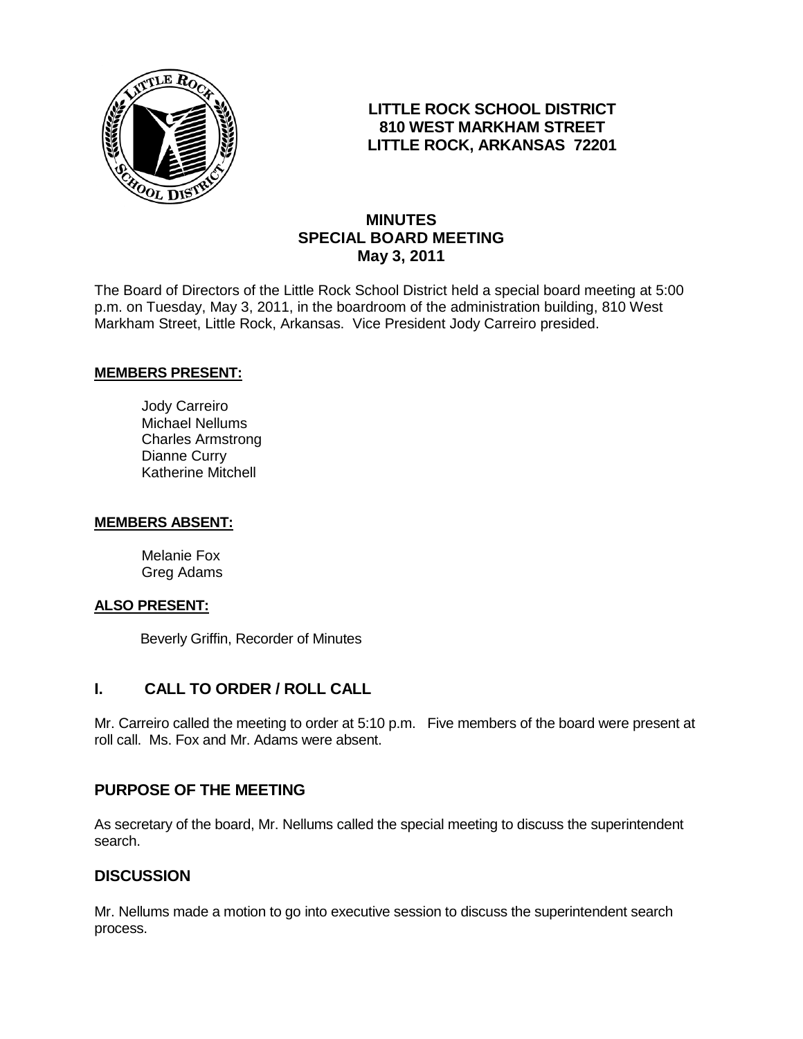

# **LITTLE ROCK SCHOOL DISTRICT 810 WEST MARKHAM STREET LITTLE ROCK, ARKANSAS 72201**

# **MINUTES SPECIAL BOARD MEETING May 3, 2011**

The Board of Directors of the Little Rock School District held a special board meeting at 5:00 p.m. on Tuesday, May 3, 2011, in the boardroom of the administration building, 810 West Markham Street, Little Rock, Arkansas. Vice President Jody Carreiro presided.

### **MEMBERS PRESENT:**

Jody Carreiro Michael Nellums Charles Armstrong Dianne Curry Katherine Mitchell

#### **MEMBERS ABSENT:**

Melanie Fox Greg Adams

#### **ALSO PRESENT:**

Beverly Griffin, Recorder of Minutes

## **I. CALL TO ORDER / ROLL CALL**

Mr. Carreiro called the meeting to order at 5:10 p.m. Five members of the board were present at roll call. Ms. Fox and Mr. Adams were absent.

## **PURPOSE OF THE MEETING**

As secretary of the board, Mr. Nellums called the special meeting to discuss the superintendent search.

## **DISCUSSION**

Mr. Nellums made a motion to go into executive session to discuss the superintendent search process.